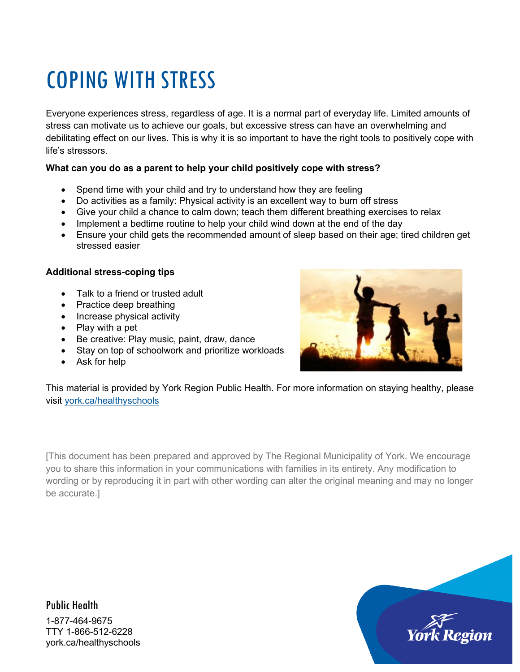# COPING WITH STRESS

Everyone experiences stress, regardless of age. It is a normal part of everyday life. Limited amounts of stress can motivate us to achieve our goals, but excessive stress can have an overwhelming and debilitating effect on our lives. This is why it is so important to have the right tools to positively cope with life's stressors.

#### **What can you do as a parent to help your child positively cope with stress?**

- Spend time with your child and try to understand how they are feeling
- Do activities as a family: Physical activity is an excellent way to burn off stress
- Give your child a chance to calm down; teach them different breathing exercises to relax
- Implement a bedtime routine to help your child wind down at the end of the day
- Ensure your child gets the recommended amount of sleep based on their age; tired children get stressed easier

#### **Additional stress-coping tips**

- Talk to a friend or trusted adult
- Practice deep breathing
- Increase physical activity
- Play with a pet
- Be creative: Play music, paint, draw, dance
- Stay on top of schoolwork and prioritize workloads
- Ask for help



This material is provided by York Region Public Health. For more information on staying healthy, please visit [york.ca/healthyschools](http://york.ca/healthyschools)

[This document has been prepared and approved by The Regional Municipality of York. We encourage you to share this information in your communications with families in its entirety. Any modification to wording or by reproducing it in part with other wording can alter the original meaning and may no longer be accurate.]

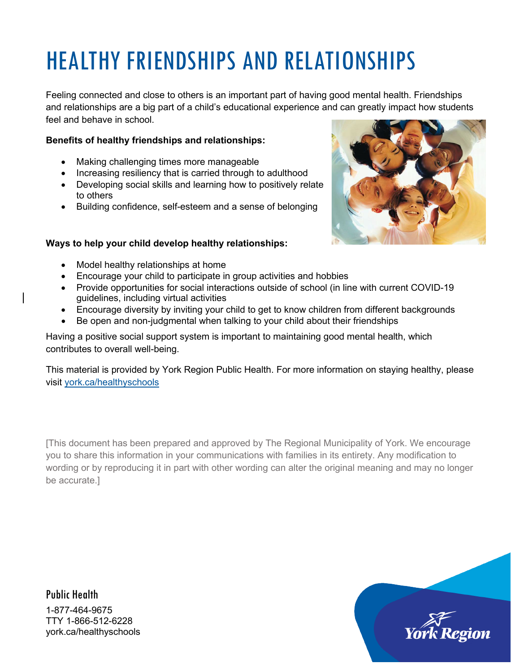# HEALTHY FRIENDSHIPS AND RELATIONSHIPS

Feeling connected and close to others is an important part of having good mental health. Friendships and relationships are a big part of a child's educational experience and can greatly impact how students feel and behave in school.

#### **Benefits of healthy friendships and relationships:**

- Making challenging times more manageable
- Increasing resiliency that is carried through to adulthood
- Developing social skills and learning how to positively relate to others
- Building confidence, self-esteem and a sense of belonging

#### **Ways to help your child develop healthy relationships:**



- Model healthy relationships at home
- Encourage your child to participate in group activities and hobbies
- Provide opportunities for social interactions outside of school (in line with current COVID-19 guidelines, including virtual activities
- Encourage diversity by inviting your child to get to know children from different backgrounds
- Be open and non-judgmental when talking to your child about their friendships

Having a positive social support system is important to maintaining good mental health, which contributes to overall well-being.

This material is provided by York Region Public Health. For more information on staying healthy, please visit [york.ca/healthyschools](http://www.york.ca/healthyschools)

[This document has been prepared and approved by The Regional Municipality of York. We encourage you to share this information in your communications with families in its entirety. Any modification to wording or by reproducing it in part with other wording can alter the original meaning and may no longer be accurate.]

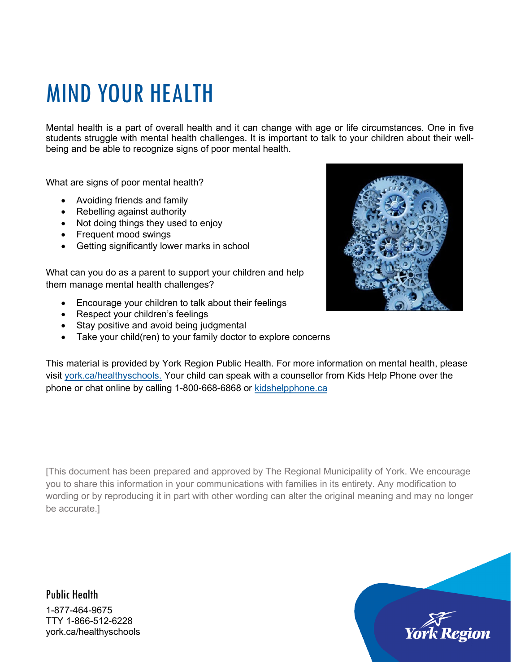## MIND YOUR HEALTH

Mental health is a part of overall health and it can change with age or life circumstances. One in five students struggle with mental health challenges. It is important to talk to your children about their wellbeing and be able to recognize signs of poor mental health.

What are signs of poor mental health?

- Avoiding friends and family
- Rebelling against authority
- Not doing things they used to enjoy
- Frequent mood swings
- Getting significantly lower marks in school

What can you do as a parent to support your children and help them manage mental health challenges?

- Encourage your children to talk about their feelings
- Respect your children's feelings
- Stay positive and avoid being judgmental
- Take your child(ren) to your family doctor to explore concerns



This material is provided by York Region Public Health. For more information on mental health, please visit [york.ca/healthyschools.](http://york.ca/healthyschools) Your child can speak with a counsellor from Kids Help Phone over the phone or chat online by calling 1-800-668-6868 or [kidshelpphone.ca](http://www.kidshelpphone.ca/)

[This document has been prepared and approved by The Regional Municipality of York. We encourage you to share this information in your communications with families in its entirety. Any modification to wording or by reproducing it in part with other wording can alter the original meaning and may no longer be accurate.]

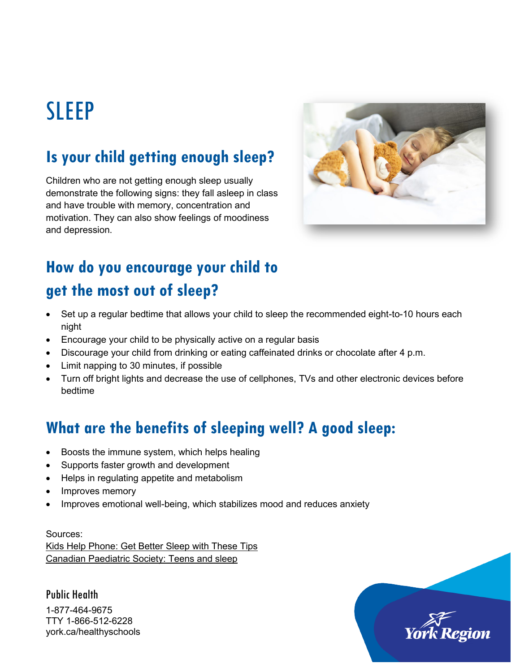## SLEEP

## **Is your child getting enough sleep?**

Children who are not getting enough sleep usually demonstrate the following signs: they fall asleep in class and have trouble with memory, concentration and motivation. They can also show feelings of moodiness and depression.



## **How do you encourage your child to get the most out of sleep?**

- Set up a regular bedtime that allows your child to sleep the recommended eight-to-10 hours each night
- Encourage your child to be physically active on a regular basis
- Discourage your child from drinking or eating caffeinated drinks or chocolate after 4 p.m.
- Limit napping to 30 minutes, if possible
- Turn off bright lights and decrease the use of cellphones, TVs and other electronic devices before bedtime

## **What are the benefits of sleeping well? A good sleep:**

- Boosts the immune system, which helps healing
- Supports faster growth and development
- Helps in regulating appetite and metabolism
- Improves memory
- Improves emotional well-being, which stabilizes mood and reduces anxiety

Sources: [Kids Help Phone: Get Better Sleep with These Tips](https://kidshelpphone.ca/get-info/all-night-get-better-sleep-these-tips/)  [Canadian Paediatric Society: Teens and sleep](https://www.caringforkids.cps.ca/handouts/teens_and_sleep) 

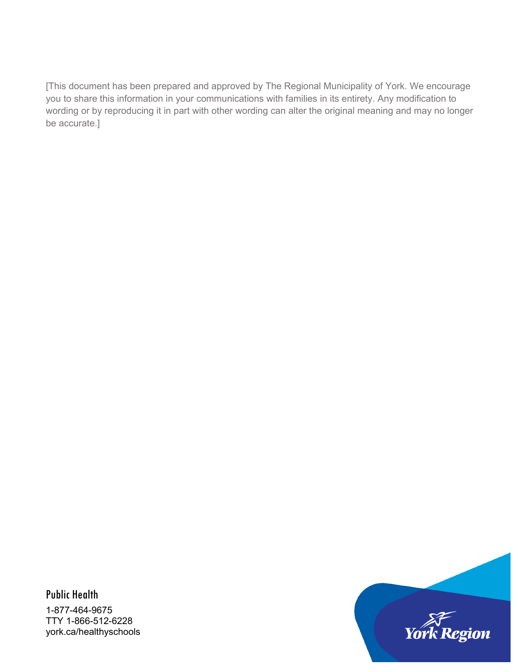[This document has been prepared and approved by The Regional Municipality of York. We encourage you to share this information in your communications with families in its entirety. Any modification to wording or by reproducing it in part with other wording can alter the original meaning and may no longer be accurate.]

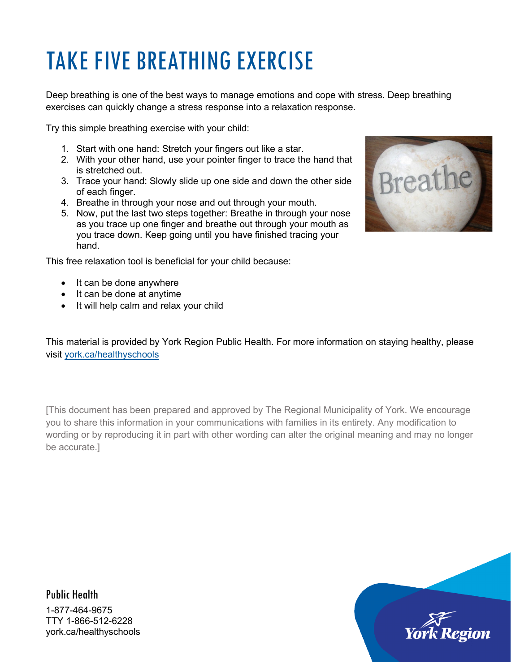# TAKE FIVE BREATHING EXERCISE

Deep breathing is one of the best ways to manage emotions and cope with stress. Deep breathing exercises can quickly change a stress response into a relaxation response.

Try this simple breathing exercise with your child:

- 1. Start with one hand: Stretch your fingers out like a star.
- 2. With your other hand, use your pointer finger to trace the hand that is stretched out.
- 3. Trace your hand: Slowly slide up one side and down the other side of each finger.
- 4. Breathe in through your nose and out through your mouth.
- 5. Now, put the last two steps together: Breathe in through your nose as you trace up one finger and breathe out through your mouth as you trace down. Keep going until you have finished tracing your hand.

This free relaxation tool is beneficial for your child because:

- It can be done anywhere
- It can be done at anytime
- It will help calm and relax your child



This material is provided by York Region Public Health. For more information on staying healthy, please visit [york.ca/healthyschools](http://york.ca/healthyschools)

[This document has been prepared and approved by The Regional Municipality of York. We encourage you to share this information in your communications with families in its entirety. Any modification to wording or by reproducing it in part with other wording can alter the original meaning and may no longer be accurate.]

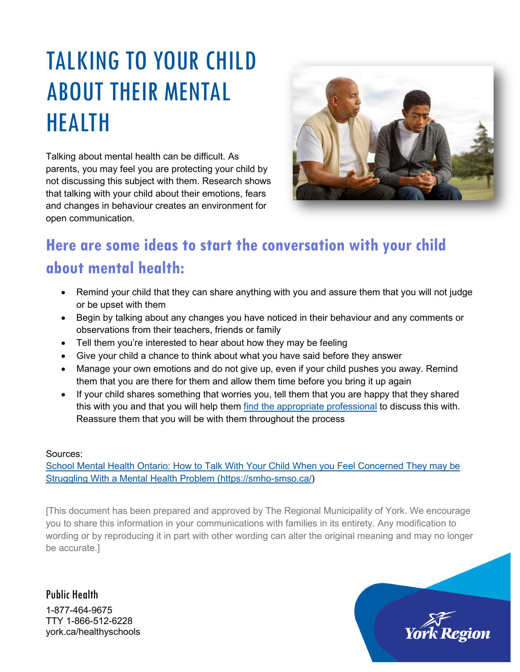# TALKING TO YOUR CHILD ABOUT THEIR MENTAL HEALTH

Talking about mental health can be difficult. As parents, you may feel you are protecting your child by not discussing this subject with them. Research shows that talking with your child about their emotions, fears and changes in behaviour creates an environment for open communication.



## **Here are some ideas to start the conversation with your child about mental health:**

- Remind your child that they can share anything with you and assure them that you will not judge or be upset with them
- Begin by talking about any changes you have noticed in their behaviour and any comments or observations from their teachers, friends or family
- Tell them you're interested to hear about how they may be feeling
- Give your child a chance to think about what you have said before they answer
- Manage your own emotions and do not give up, even if your child pushes you away. Remind them that you are there for them and allow them time before you bring it up again
- If your child shares something that worries you, tell them that you are happy that they shared this with you and that you will help them [find the appropriate professional](https://smho-smso.ca/parents-and-families/take-action/how-to-find-a-community-resource/) to discuss this with. Reassure them that you will be with them throughout the process

#### Sources:

School Mental Health Ontario: How to Talk With Your Child When you Feel Concerned They may be [Struggling With a Mental Health Problem](https://smho-smso.ca/parents-and-families/take-action/how-to-talk-with-your-child-when-you-feel-concerned-they-may-be-struggling-with-a-mental-health-problem/) [\(https://smho-smso.ca/\)](https://smho-smso.ca/)

[This document has been prepared and approved by The Regional Municipality of York. We encourage you to share this information in your communications with families in its entirety. Any modification to wording or by reproducing it in part with other wording can alter the original meaning and may no longer be accurate.]